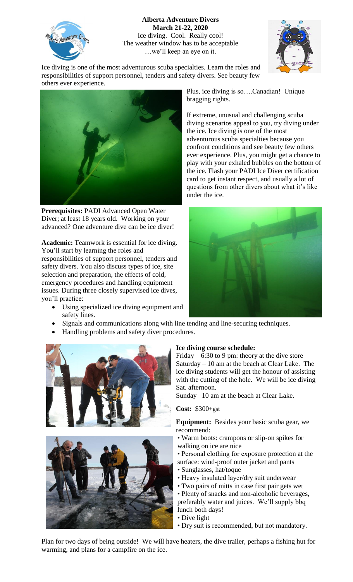

**Alberta Adventure Divers March 21-22, 2020** Ice diving. Cool. Really cool! The weather window has to be acceptable …we'll keep an eye on it.



Ice diving is one of the most adventurous scuba specialties. Learn the roles and responsibilities of support personnel, tenders and safety divers. See beauty few others ever experience.



**Prerequisites:** PADI Advanced Open Water Diver; at least 18 years old. Working on your advanced? One adventure dive can be ice diver!

**Academic:** Teamwork is essential for ice diving. You'll start by learning the roles and responsibilities of support personnel, tenders and safety divers. You also discuss types of ice, site selection and preparation, the effects of cold, emergency procedures and handling equipment issues. During three closely supervised ice dives, you'll practice:

 Using specialized ice diving equipment and safety lines.

Plus, ice diving is so….Canadian! Unique bragging rights.

If extreme, unusual and challenging scuba diving scenarios appeal to you, try diving under the ice. Ice diving is one of the most adventurous scuba specialties because you confront conditions and see beauty few others ever experience. Plus, you might get a chance to play with your exhaled bubbles on the bottom of the ice. Flash your PADI Ice Diver certification card to get instant respect, and usually a lot of questions from other divers about what it's like under the ice.



- Signals and communications along with line tending and line-securing techniques.
- Handling problems and safety diver procedures.





## **Ice diving course schedule:**

Friday  $-6:30$  to 9 pm: theory at the dive store Saturday – 10 am at the beach at Clear Lake. The ice diving students will get the honour of assisting with the cutting of the hole. We will be ice diving Sat. afternoon.

Sunday –10 am at the beach at Clear Lake.

## **Cost:** \$300+gst

**Equipment:** Besides your basic scuba gear, we recommend:

- Warm boots: crampons or slip-on spikes for walking on ice are nice
- Personal clothing for exposure protection at the surface: wind-proof outer jacket and pants
- Sunglasses, hat/toque
- Heavy insulated layer/dry suit underwear
- Two pairs of mitts in case first pair gets wet

• Plenty of snacks and non-alcoholic beverages, preferably water and juices. We'll supply bbq lunch both days!

- Dive light
- Dry suit is recommended, but not mandatory.

Plan for two days of being outside! We will have heaters, the dive trailer, perhaps a fishing hut for warming, and plans for a campfire on the ice.